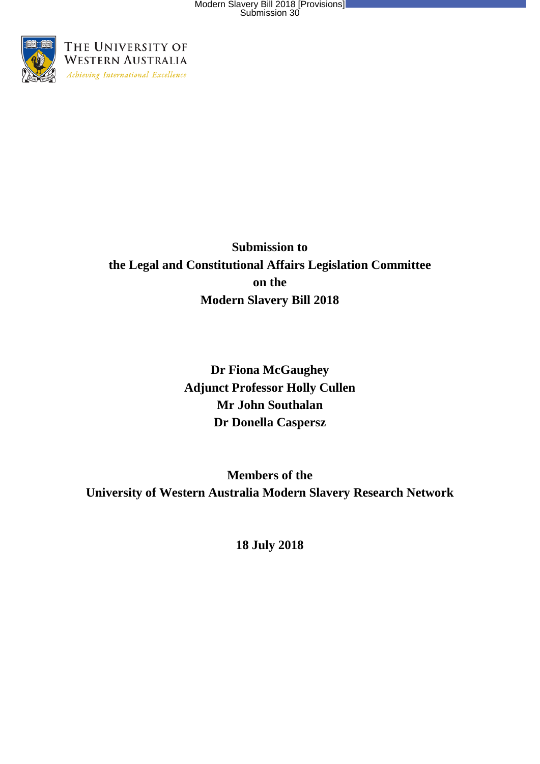

### **Submission to the Legal and Constitutional Affairs Legislation Committee on the Modern Slavery Bill 2018**

**Dr Fiona McGaughey Adjunct Professor Holly Cullen Mr John Southalan Dr Donella Caspersz**

**Members of the University of Western Australia Modern Slavery Research Network**

**18 July 2018**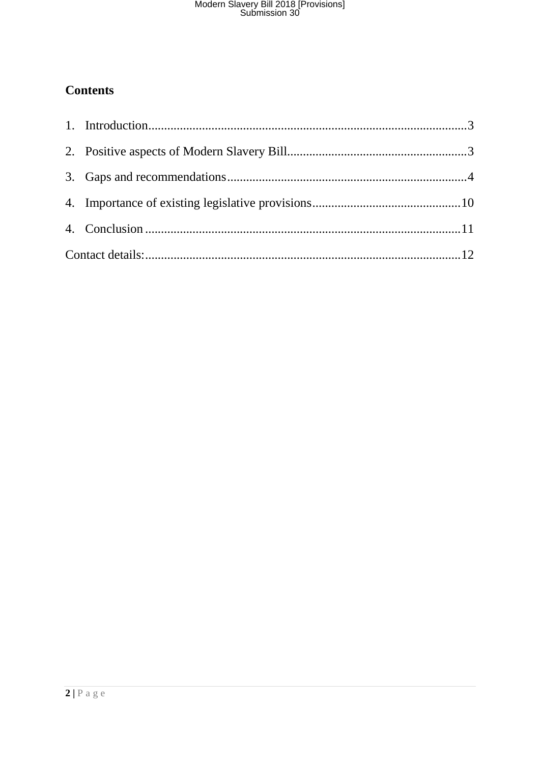### **Contents**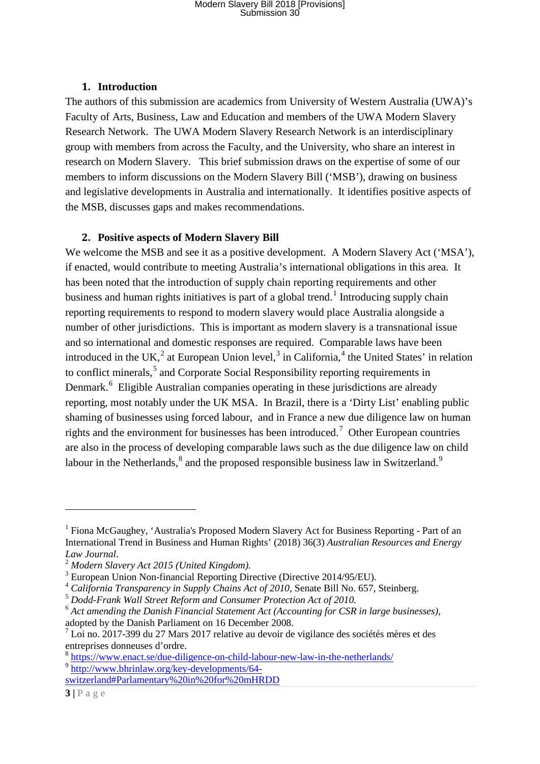#### **1. Introduction**

<span id="page-2-0"></span>The authors of this submission are academics from University of Western Australia (UWA)'s Faculty of Arts, Business, Law and Education and members of the UWA Modern Slavery Research Network. The UWA Modern Slavery Research Network is an interdisciplinary group with members from across the Faculty, and the University, who share an interest in research on Modern Slavery. This brief submission draws on the expertise of some of our members to inform discussions on the Modern Slavery Bill ('MSB'), drawing on business and legislative developments in Australia and internationally. It identifies positive aspects of the MSB, discusses gaps and makes recommendations.

#### **2. Positive aspects of Modern Slavery Bill**

<span id="page-2-1"></span>We welcome the MSB and see it as a positive development. A Modern Slavery Act ('MSA'), if enacted, would contribute to meeting Australia's international obligations in this area. It has been noted that the introduction of supply chain reporting requirements and other business and human rights initiatives is part of a global trend.<sup>[1](#page-2-2)</sup> Introducing supply chain reporting requirements to respond to modern slavery would place Australia alongside a number of other jurisdictions. This is important as modern slavery is a transnational issue and so international and domestic responses are required. Comparable laws have been introduced in the UK,<sup>[2](#page-2-3)</sup> at European Union level,<sup>[3](#page-2-4)</sup> in California,<sup>[4](#page-2-5)</sup> the United States' in relation to conflict minerals,<sup>[5](#page-2-6)</sup> and Corporate Social Responsibility reporting requirements in Denmark.<sup>[6](#page-2-7)</sup> Eligible Australian companies operating in these jurisdictions are already reporting, most notably under the UK MSA. In Brazil, there is a 'Dirty List' enabling public shaming of businesses using forced labour, and in France a new due diligence law on human rights and the environment for businesses has been introduced.<sup>[7](#page-2-8)</sup> Other European countries are also in the process of developing comparable laws such as the due diligence law on child labour in the Netherlands, $8$  and the proposed responsible business law in Switzerland.<sup>[9](#page-2-10)</sup>

1

<span id="page-2-2"></span><sup>&</sup>lt;sup>1</sup> Fiona McGaughey, 'Australia's Proposed Modern Slavery Act for Business Reporting - Part of an International Trend in Business and Human Rights' (2018) 36(3) *Australian Resources and Energy* 

<span id="page-2-5"></span><span id="page-2-4"></span>

<span id="page-2-3"></span><sup>&</sup>lt;sup>2</sup> Modern Slavery Act 2015 (United Kingdom).<br>
<sup>3</sup> European Union Non-financial Reporting Directive (Directive 2014/95/EU).<br>
<sup>4</sup> California Transparency in Supply Chains Act of 2010, Senate Bill No. 657, Steinberg.<br>
<sup>5</sup> D

<span id="page-2-7"></span><span id="page-2-6"></span><sup>&</sup>lt;sup>6</sup> Act amending the Danish Financial Statement Act (Accounting for CSR in large businesses), adopted by the Danish Parliament on 16 December 2008.

<span id="page-2-8"></span> $<sup>7</sup>$  Loi no. 2017-399 du 27 Mars 2017 relative au devoir de vigilance des sociétés mères et des</sup> entreprises donneuses d'ordre.

<span id="page-2-10"></span><span id="page-2-9"></span><sup>8</sup> <https://www.enact.se/due-diligence-on-child-labour-new-law-in-the-netherlands/> <sup>9</sup> [http://www.bhrinlaw.org/key-developments/64-](http://www.bhrinlaw.org/key-developments/64-switzerland#Parlamentary%20in%20for%20mHRDD)

[switzerland#Parlamentary%20in%20for%20mHRDD](http://www.bhrinlaw.org/key-developments/64-switzerland#Parlamentary%20in%20for%20mHRDD)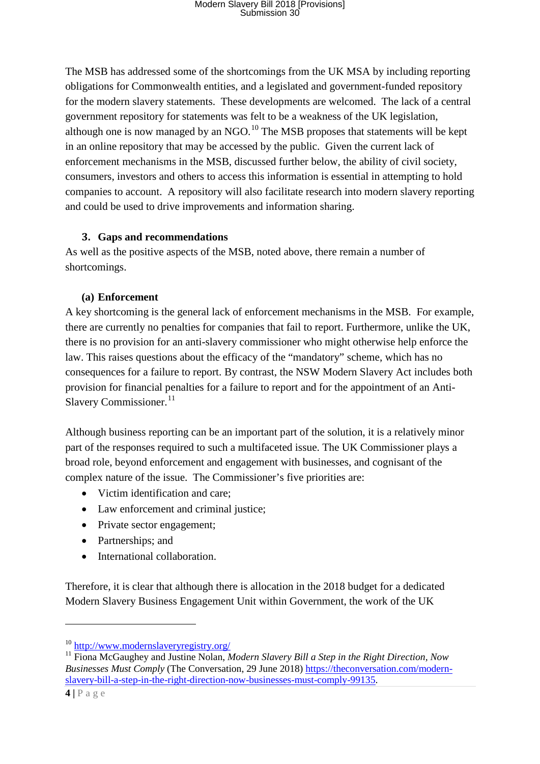The MSB has addressed some of the shortcomings from the UK MSA by including reporting obligations for Commonwealth entities, and a legislated and government-funded repository for the modern slavery statements. These developments are welcomed. The lack of a central government repository for statements was felt to be a weakness of the UK legislation, although one is now managed by an NGO.<sup>[10](#page-3-1)</sup> The MSB proposes that statements will be kept in an online repository that may be accessed by the public. Given the current lack of enforcement mechanisms in the MSB, discussed further below, the ability of civil society, consumers, investors and others to access this information is essential in attempting to hold companies to account. A repository will also facilitate research into modern slavery reporting and could be used to drive improvements and information sharing.

#### **3. Gaps and recommendations**

<span id="page-3-0"></span>As well as the positive aspects of the MSB, noted above, there remain a number of shortcomings.

#### **(a) Enforcement**

A key shortcoming is the general lack of enforcement mechanisms in the MSB. For example, there are currently no penalties for companies that fail to report. Furthermore, unlike the UK, there is no provision for an anti-slavery commissioner who might otherwise help enforce the law. This raises questions about the efficacy of the "mandatory" scheme, which has no consequences for a failure to report. By contrast, the NSW Modern Slavery Act includes both provision for financial penalties for a failure to report and for the appointment of an Anti-Slavery Commissioner. $11$ 

Although business reporting can be an important part of the solution, it is a relatively minor part of the responses required to such a multifaceted issue. The UK Commissioner plays a broad role, beyond enforcement and engagement with businesses, and cognisant of the complex nature of the issue. The Commissioner's five priorities are:

- Victim identification and care:
- Law enforcement and criminal justice;
- Private sector engagement;
- Partnerships; and
- International collaboration.

Therefore, it is clear that although there is allocation in the 2018 budget for a dedicated Modern Slavery Business Engagement Unit within Government, the work of the UK

**.** 

<span id="page-3-1"></span><sup>10</sup> <http://www.modernslaveryregistry.org/>

<span id="page-3-2"></span><sup>&</sup>lt;sup>11</sup> Fiona McGaughey and Justine Nolan, *Modern Slavery Bill a Step in the Right Direction, Now Businesses Must Comply* (The Conversation, 29 June 2018) [https://theconversation.com/modern](https://theconversation.com/modern-slavery-bill-a-step-in-the-right-direction-now-businesses-must-comply-99135)[slavery-bill-a-step-in-the-right-direction-now-businesses-must-comply-99135.](https://theconversation.com/modern-slavery-bill-a-step-in-the-right-direction-now-businesses-must-comply-99135)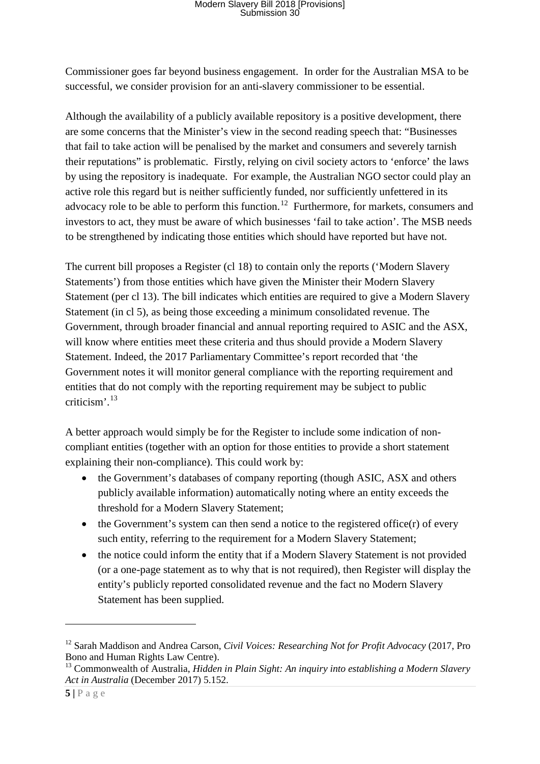Commissioner goes far beyond business engagement. In order for the Australian MSA to be successful, we consider provision for an anti-slavery commissioner to be essential.

Although the availability of a publicly available repository is a positive development, there are some concerns that the Minister's view in the second reading speech that: "Businesses that fail to take action will be penalised by the market and consumers and severely tarnish their reputations" is problematic. Firstly, relying on civil society actors to 'enforce' the laws by using the repository is inadequate. For example, the Australian NGO sector could play an active role this regard but is neither sufficiently funded, nor sufficiently unfettered in its advocacy role to be able to perform this function.<sup>12</sup> Furthermore, for markets, consumers and investors to act, they must be aware of which businesses 'fail to take action'. The MSB needs to be strengthened by indicating those entities which should have reported but have not.

The current bill proposes a Register (cl 18) to contain only the reports ('Modern Slavery Statements') from those entities which have given the Minister their Modern Slavery Statement (per cl 13). The bill indicates which entities are required to give a Modern Slavery Statement (in cl 5), as being those exceeding a minimum consolidated revenue. The Government, through broader financial and annual reporting required to ASIC and the ASX, will know where entities meet these criteria and thus should provide a Modern Slavery Statement. Indeed, the 2017 Parliamentary Committee's report recorded that 'the Government notes it will monitor general compliance with the reporting requirement and entities that do not comply with the reporting requirement may be subject to public criticism'. [13](#page-4-1)

A better approach would simply be for the Register to include some indication of noncompliant entities (together with an option for those entities to provide a short statement explaining their non-compliance). This could work by:

- the Government's databases of company reporting (though ASIC, ASX and others publicly available information) automatically noting where an entity exceeds the threshold for a Modern Slavery Statement;
- the Government's system can then send a notice to the registered office $(r)$  of every such entity, referring to the requirement for a Modern Slavery Statement;
- the notice could inform the entity that if a Modern Slavery Statement is not provided (or a one-page statement as to why that is not required), then Register will display the entity's publicly reported consolidated revenue and the fact no Modern Slavery Statement has been supplied.

**.** 

<span id="page-4-0"></span><sup>12</sup> Sarah Maddison and Andrea Carson, *Civil Voices: Researching Not for Profit Advocacy* (2017, Pro Bono and Human Rights Law Centre).

<span id="page-4-1"></span><sup>&</sup>lt;sup>13</sup> Commonwealth of Australia, *Hidden in Plain Sight: An inquiry into establishing a Modern Slavery Act in Australia* (December 2017) 5.152.

**<sup>5</sup> |** Page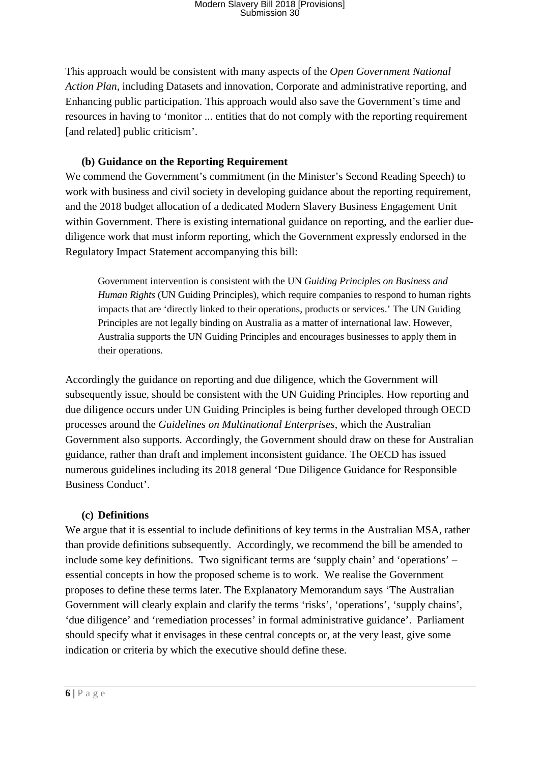This approach would be consistent with many aspects of the *Open Government National Action Plan*, including Datasets and innovation, Corporate and administrative reporting, and Enhancing public participation. This approach would also save the Government's time and resources in having to 'monitor ... entities that do not comply with the reporting requirement [and related] public criticism'.

#### **(b) Guidance on the Reporting Requirement**

We commend the Government's commitment (in the Minister's Second Reading Speech) to work with business and civil society in developing guidance about the reporting requirement, and the 2018 budget allocation of a dedicated Modern Slavery Business Engagement Unit within Government. There is existing international guidance on reporting, and the earlier duediligence work that must inform reporting, which the Government expressly endorsed in the Regulatory Impact Statement accompanying this bill:

Government intervention is consistent with the UN *Guiding Principles on Business and Human Rights* (UN Guiding Principles), which require companies to respond to human rights impacts that are 'directly linked to their operations, products or services.' The UN Guiding Principles are not legally binding on Australia as a matter of international law. However, Australia supports the UN Guiding Principles and encourages businesses to apply them in their operations.

Accordingly the guidance on reporting and due diligence, which the Government will subsequently issue, should be consistent with the UN Guiding Principles. How reporting and due diligence occurs under UN Guiding Principles is being further developed through OECD processes around the *Guidelines on Multinational Enterprises*, which the Australian Government also supports. Accordingly, the Government should draw on these for Australian guidance, rather than draft and implement inconsistent guidance. The OECD has issued numerous guidelines including its 2018 general 'Due Diligence Guidance for Responsible Business Conduct'.

#### **(c) Definitions**

We argue that it is essential to include definitions of key terms in the Australian MSA, rather than provide definitions subsequently. Accordingly, we recommend the bill be amended to include some key definitions. Two significant terms are 'supply chain' and 'operations' – essential concepts in how the proposed scheme is to work. We realise the Government proposes to define these terms later. The Explanatory Memorandum says 'The Australian Government will clearly explain and clarify the terms 'risks', 'operations', 'supply chains', 'due diligence' and 'remediation processes' in formal administrative guidance'. Parliament should specify what it envisages in these central concepts or, at the very least, give some indication or criteria by which the executive should define these.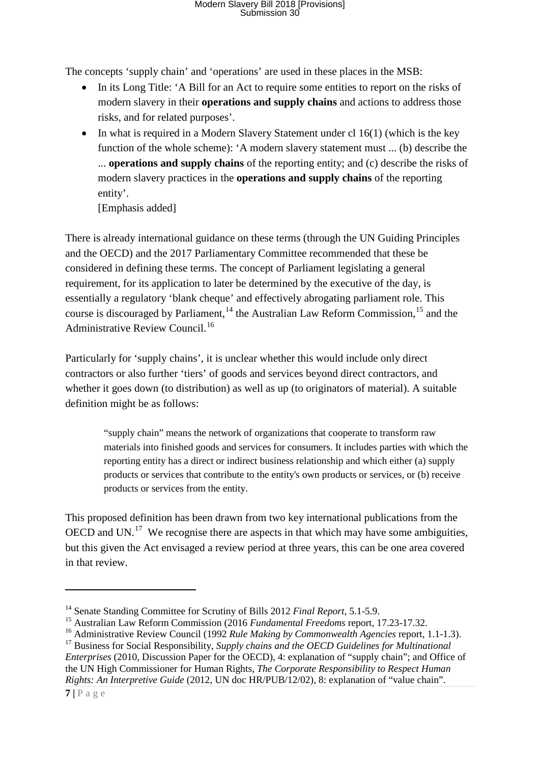The concepts 'supply chain' and 'operations' are used in these places in the MSB:

- In its Long Title: 'A Bill for an Act to require some entities to report on the risks of modern slavery in their **operations and supply chains** and actions to address those risks, and for related purposes'.
- In what is required in a Modern Slavery Statement under cl  $16(1)$  (which is the key function of the whole scheme): 'A modern slavery statement must ... (b) describe the ... **operations and supply chains** of the reporting entity; and (c) describe the risks of modern slavery practices in the **operations and supply chains** of the reporting entity'.

[Emphasis added]

There is already international guidance on these terms (through the UN Guiding Principles and the OECD) and the 2017 Parliamentary Committee recommended that these be considered in defining these terms. The concept of Parliament legislating a general requirement, for its application to later be determined by the executive of the day, is essentially a regulatory 'blank cheque' and effectively abrogating parliament role. This course is discouraged by Parliament, <sup>[14](#page-6-0)</sup> the Australian Law Reform Commission, <sup>[15](#page-6-1)</sup> and the Administrative Review Council. [16](#page-6-2)

Particularly for 'supply chains', it is unclear whether this would include only direct contractors or also further 'tiers' of goods and services beyond direct contractors, and whether it goes down (to distribution) as well as up (to originators of material). A suitable definition might be as follows:

"supply chain" means the network of organizations that cooperate to transform raw materials into finished goods and services for consumers. It includes parties with which the reporting entity has a direct or indirect business relationship and which either (a) supply products or services that contribute to the entity's own products or services, or (b) receive products or services from the entity.

This proposed definition has been drawn from two key international publications from the OECD and UN.<sup>17</sup> We recognise there are aspects in that which may have some ambiguities, but this given the Act envisaged a review period at three years, this can be one area covered in that review.

**.** 

<span id="page-6-0"></span><sup>14</sup> Senate Standing Committee for Scrutiny of Bills 2012 *Final Report*, 5.1-5.9.

<span id="page-6-1"></span><sup>15</sup> Australian Law Reform Commission (2016 *Fundamental Freedoms* report, 17.23-17.32.

<span id="page-6-2"></span><sup>16</sup> Administrative Review Council (1992 *Rule Making by Commonwealth Agencies* report, 1.1-1.3).

<span id="page-6-3"></span><sup>&</sup>lt;sup>17</sup> Business for Social Responsibility, *Supply chains and the OECD Guidelines for Multinational Enterprises* (2010, Discussion Paper for the OECD), 4: explanation of "supply chain"; and Office of the UN High Commissioner for Human Rights, *The Corporate Responsibility to Respect Human Rights: An Interpretive Guide* (2012, UN doc HR/PUB/12/02), 8: explanation of "value chain".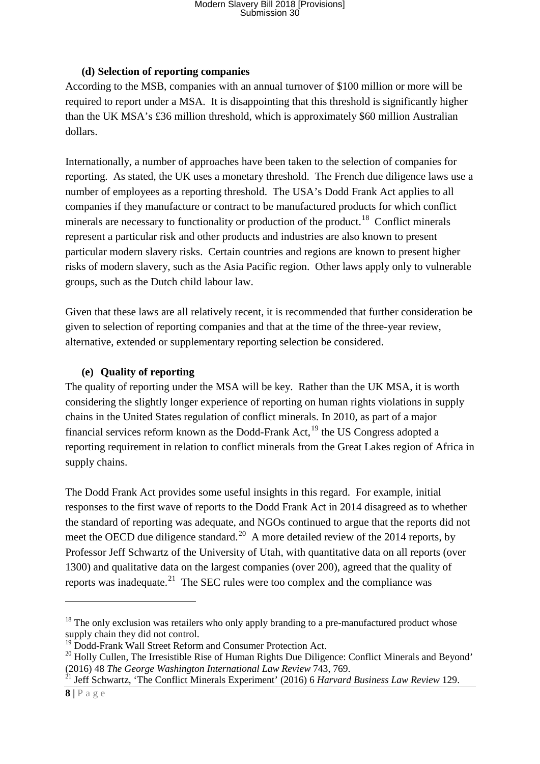#### **(d) Selection of reporting companies**

According to the MSB, companies with an annual turnover of \$100 million or more will be required to report under a MSA. It is disappointing that this threshold is significantly higher than the UK MSA's £36 million threshold, which is approximately \$60 million Australian dollars.

Internationally, a number of approaches have been taken to the selection of companies for reporting. As stated, the UK uses a monetary threshold. The French due diligence laws use a number of employees as a reporting threshold. The USA's Dodd Frank Act applies to all companies if they manufacture or contract to be manufactured products for which conflict minerals are necessary to functionality or production of the product.<sup>[18](#page-7-0)</sup> Conflict minerals represent a particular risk and other products and industries are also known to present particular modern slavery risks. Certain countries and regions are known to present higher risks of modern slavery, such as the Asia Pacific region. Other laws apply only to vulnerable groups, such as the Dutch child labour law.

Given that these laws are all relatively recent, it is recommended that further consideration be given to selection of reporting companies and that at the time of the three-year review, alternative, extended or supplementary reporting selection be considered.

#### **(e) Quality of reporting**

The quality of reporting under the MSA will be key. Rather than the UK MSA, it is worth considering the slightly longer experience of reporting on human rights violations in supply chains in the United States regulation of conflict minerals. In 2010, as part of a major financial services reform known as the Dodd-Frank Act,  $^{19}$  $^{19}$  $^{19}$  the US Congress adopted a reporting requirement in relation to conflict minerals from the Great Lakes region of Africa in supply chains.

The Dodd Frank Act provides some useful insights in this regard. For example, initial responses to the first wave of reports to the Dodd Frank Act in 2014 disagreed as to whether the standard of reporting was adequate, and NGOs continued to argue that the reports did not meet the OECD due diligence standard.<sup>[20](#page-7-2)</sup> A more detailed review of the 2014 reports, by Professor Jeff Schwartz of the University of Utah, with quantitative data on all reports (over 1300) and qualitative data on the largest companies (over 200), agreed that the quality of reports was inadequate.<sup>21</sup> The SEC rules were too complex and the compliance was

-

<span id="page-7-0"></span> $18$  The only exclusion was retailers who only apply branding to a pre-manufactured product whose supply chain they did not control.

<sup>&</sup>lt;sup>19</sup> Dodd-Frank Wall Street Reform and Consumer Protection Act.

<span id="page-7-2"></span><span id="page-7-1"></span><sup>&</sup>lt;sup>20</sup> Holly Cullen, The Irresistible Rise of Human Rights Due Diligence: Conflict Minerals and Beyond' (2016) 48 *The George Washington International Law Review* 743, 769. <sup>21</sup> Jeff Schwartz, 'The Conflict Minerals Experiment' (2016) 6 *Harvard Business Law Review* 129.

<span id="page-7-3"></span>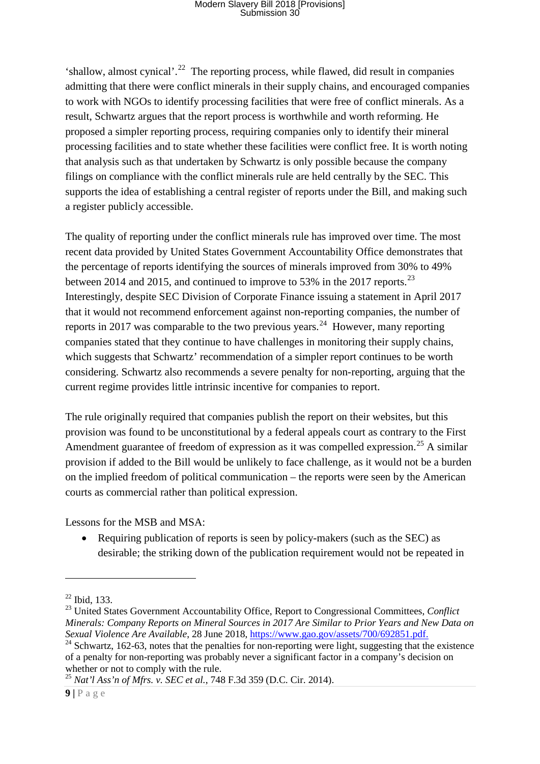'shallow, almost cynical'.<sup>22</sup> The reporting process, while flawed, did result in companies admitting that there were conflict minerals in their supply chains, and encouraged companies to work with NGOs to identify processing facilities that were free of conflict minerals. As a result, Schwartz argues that the report process is worthwhile and worth reforming. He proposed a simpler reporting process, requiring companies only to identify their mineral processing facilities and to state whether these facilities were conflict free. It is worth noting that analysis such as that undertaken by Schwartz is only possible because the company filings on compliance with the conflict minerals rule are held centrally by the SEC. This supports the idea of establishing a central register of reports under the Bill, and making such a register publicly accessible.

The quality of reporting under the conflict minerals rule has improved over time. The most recent data provided by United States Government Accountability Office demonstrates that the percentage of reports identifying the sources of minerals improved from 30% to 49% between 2014 and 2015, and continued to improve to 53% in the 2017 reports.<sup>23</sup> Interestingly, despite SEC Division of Corporate Finance issuing a statement in April 2017 that it would not recommend enforcement against non-reporting companies, the number of reports in 2017 was comparable to the two previous years.<sup>24</sup> However, many reporting companies stated that they continue to have challenges in monitoring their supply chains, which suggests that Schwartz' recommendation of a simpler report continues to be worth considering. Schwartz also recommends a severe penalty for non-reporting, arguing that the current regime provides little intrinsic incentive for companies to report.

The rule originally required that companies publish the report on their websites, but this provision was found to be unconstitutional by a federal appeals court as contrary to the First Amendment guarantee of freedom of expression as it was compelled expression.<sup>[25](#page-8-3)</sup> A similar provision if added to the Bill would be unlikely to face challenge, as it would not be a burden on the implied freedom of political communication – the reports were seen by the American courts as commercial rather than political expression.

Lessons for the MSB and MSA:

• Requiring publication of reports is seen by policy-makers (such as the SEC) as desirable; the striking down of the publication requirement would not be repeated in

1

<span id="page-8-3"></span>

<span id="page-8-1"></span><span id="page-8-0"></span><sup>22</sup> Ibid, 133. <sup>23</sup> United States Government Accountability Office, Report to Congressional Committees, *Conflict Minerals: Company Reports on Mineral Sources in 2017 Are Similar to Prior Years and New Data on Sexual Violence Are Available*, 28 June 2018[, https://www.gao.gov/assets/700/692851.pdf.](https://www.gao.gov/assets/700/692851.pdf)<br><sup>24</sup> Schwartz, 162-63, notes that the penalties for non-reporting were light, suggesting that the existence

<span id="page-8-2"></span>of a penalty for non-reporting was probably never a significant factor in a company's decision on whether or not to comply with the rule.<br><sup>25</sup> *Nat'l Ass'n of Mfrs. v. SEC et al.*, 748 F.3d 359 (D.C. Cir. 2014).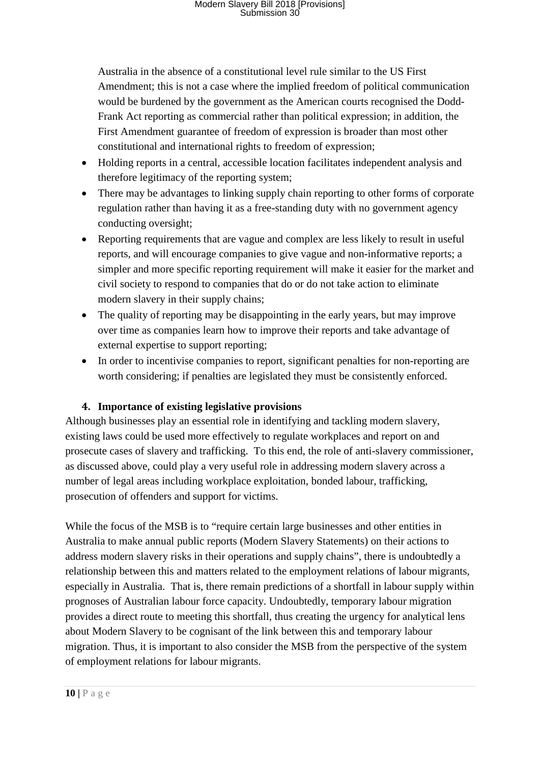Australia in the absence of a constitutional level rule similar to the US First Amendment; this is not a case where the implied freedom of political communication would be burdened by the government as the American courts recognised the Dodd-Frank Act reporting as commercial rather than political expression; in addition, the First Amendment guarantee of freedom of expression is broader than most other constitutional and international rights to freedom of expression;

- Holding reports in a central, accessible location facilitates independent analysis and therefore legitimacy of the reporting system;
- There may be advantages to linking supply chain reporting to other forms of corporate regulation rather than having it as a free-standing duty with no government agency conducting oversight;
- Reporting requirements that are vague and complex are less likely to result in useful reports, and will encourage companies to give vague and non-informative reports; a simpler and more specific reporting requirement will make it easier for the market and civil society to respond to companies that do or do not take action to eliminate modern slavery in their supply chains;
- The quality of reporting may be disappointing in the early years, but may improve over time as companies learn how to improve their reports and take advantage of external expertise to support reporting;
- In order to incentivise companies to report, significant penalties for non-reporting are worth considering; if penalties are legislated they must be consistently enforced.

#### **4. Importance of existing legislative provisions**

<span id="page-9-0"></span>Although businesses play an essential role in identifying and tackling modern slavery, existing laws could be used more effectively to regulate workplaces and report on and prosecute cases of slavery and trafficking. To this end, the role of anti-slavery commissioner, as discussed above, could play a very useful role in addressing modern slavery across a number of legal areas including workplace exploitation, bonded labour, trafficking, prosecution of offenders and support for victims.

While the focus of the MSB is to "require certain large businesses and other entities in Australia to make annual public reports (Modern Slavery Statements) on their actions to address modern slavery risks in their operations and supply chains", there is undoubtedly a relationship between this and matters related to the employment relations of labour migrants, especially in Australia. That is, there remain predictions of a shortfall in labour supply within prognoses of Australian labour force capacity. Undoubtedly, temporary labour migration provides a direct route to meeting this shortfall, thus creating the urgency for analytical lens about Modern Slavery to be cognisant of the link between this and temporary labour migration. Thus, it is important to also consider the MSB from the perspective of the system of employment relations for labour migrants.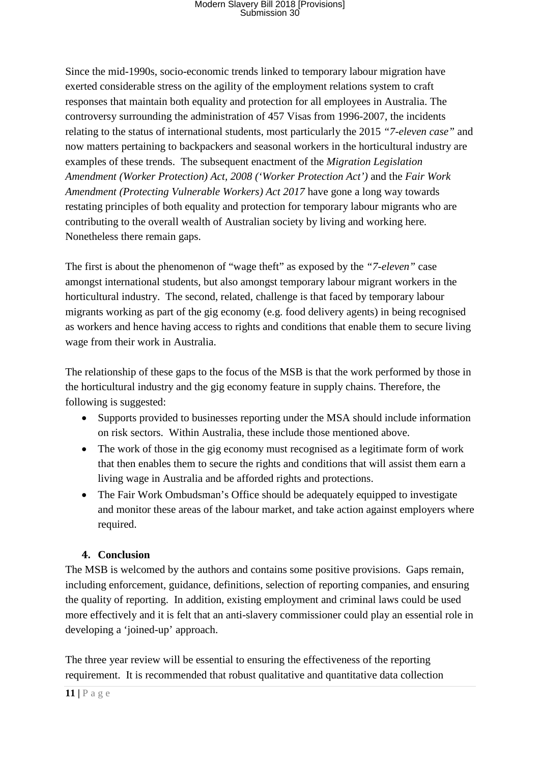Since the mid-1990s, socio-economic trends linked to temporary labour migration have exerted considerable stress on the agility of the employment relations system to craft responses that maintain both equality and protection for all employees in Australia. The controversy surrounding the administration of 457 Visas from 1996-2007, the incidents relating to the status of international students, most particularly the 2015 *"7-eleven case"* and now matters pertaining to backpackers and seasonal workers in the horticultural industry are examples of these trends. The subsequent enactment of the *Migration Legislation Amendment (Worker Protection) Act, 2008 ('Worker Protection Act')* and the *Fair Work Amendment (Protecting Vulnerable Workers) Act 2017* have gone a long way towards restating principles of both equality and protection for temporary labour migrants who are contributing to the overall wealth of Australian society by living and working here*.*  Nonetheless there remain gaps.

The first is about the phenomenon of "wage theft" as exposed by the *"7-eleven"* case amongst international students, but also amongst temporary labour migrant workers in the horticultural industry. The second, related, challenge is that faced by temporary labour migrants working as part of the gig economy (e.g. food delivery agents) in being recognised as workers and hence having access to rights and conditions that enable them to secure living wage from their work in Australia.

The relationship of these gaps to the focus of the MSB is that the work performed by those in the horticultural industry and the gig economy feature in supply chains. Therefore, the following is suggested:

- Supports provided to businesses reporting under the MSA should include information on risk sectors. Within Australia, these include those mentioned above.
- The work of those in the gig economy must recognised as a legitimate form of work that then enables them to secure the rights and conditions that will assist them earn a living wage in Australia and be afforded rights and protections.
- The Fair Work Ombudsman's Office should be adequately equipped to investigate and monitor these areas of the labour market, and take action against employers where required.

#### **4. Conclusion**

<span id="page-10-0"></span>The MSB is welcomed by the authors and contains some positive provisions. Gaps remain, including enforcement, guidance, definitions, selection of reporting companies, and ensuring the quality of reporting. In addition, existing employment and criminal laws could be used more effectively and it is felt that an anti-slavery commissioner could play an essential role in developing a 'joined-up' approach.

The three year review will be essential to ensuring the effectiveness of the reporting requirement. It is recommended that robust qualitative and quantitative data collection